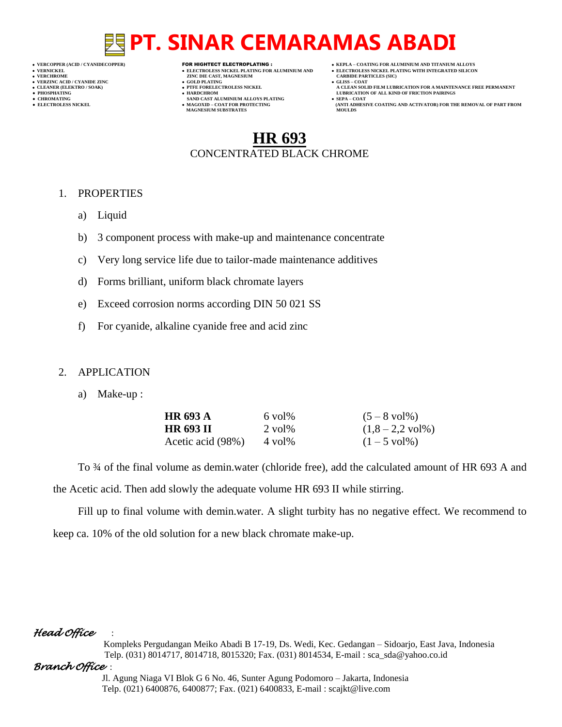- 
- 

- **VERT ASSESSED ASSESSED ASSESSED ASSESSED ASSESSED ASSESSED ASSESSED ASSESSED ASSESSED ASSESSED ASSESSED ASSESSED ASSESSED ASSESSED ASSESSED ASSESSED ASSESSED ASSESSED ASSESSED ASSESSED ASSESSED ASSESSED ASSESSED ASSESSED**
- **VERZINC ACID / CYANIDE ZINC GOLD PLATING GLISS – COAT**
	-
- **● CHROMATING SAND CAST ALUMINIUM ALLOYS PLATING SEPA – COAT • MAGOXID – COAT FOR PROTECTING<br>MAGNESIUM SUBSTRATES**
- **VERCOPPER (ACID / CYANIDECOPPER)** FOR HIGHTECT ELECTROPLATING :  **KEPLA – COATING FOR ALUMINIUM AND TITANIUM ALLOYS**
- **VERNICKEL ELECTROLESS NICKEL PLATING FOR ALUMINIUM AND ELECTROLESS NICKEL PLATING WITH INTEGRATED SILICON**
	-
- **CLEANER (ELEKTRO / SOAK) PTFE FORELECTROLESS NICKEL A CLEAN SOLID FILM LUBRICATION FOR A MAINTENANCE FREE PERMANENT ● PHOSPHATING HARDCHROM LUBRICATION OF ALL KIND OF FRICTION PAIRINGS** 
	- **ELECTROLESS AND ACTIVATOR) FOR THE REMOVAL OF PART FROM (ANTI ADHESIVE COATING AND ACTIVATOR) FOR THE REMOVAL OF PART FROM**

## **HR 693** CONCENTRATED BLACK CHROME

### 1. PROPERTIES

- a) Liquid
- b) 3 component process with make-up and maintenance concentrate
- c) Very long service life due to tailor-made maintenance additives
- d) Forms brilliant, uniform black chromate layers
- e) Exceed corrosion norms according DIN 50 021 SS
- f) For cyanide, alkaline cyanide free and acid zinc

### 2. APPLICATION

a) Make-up :

| <b>HR 693 A</b>   | $6$ vol <sup>o</sup>     | $(5 - 8$ vol <sup>[96]</sup> ) |
|-------------------|--------------------------|--------------------------------|
| HR 693 II         | $2$ vol <sup>o</sup> $6$ | $(1,8-2,2 \text{ vol}\%)$      |
| Acetic acid (98%) | $4$ vol <sup>%</sup>     | $(1 - 5 \text{ vol}\%)$        |

To  $\frac{3}{4}$  of the final volume as demin.water (chloride free), add the calculated amount of HR 693 A and the Acetic acid. Then add slowly the adequate volume HR 693 II while stirring.

Fill up to final volume with demin.water. A slight turbity has no negative effect. We recommend to keep ca. 10% of the old solution for a new black chromate make-up.

### *Head Office* :

 Kompleks Pergudangan Meiko Abadi B 17-19, Ds. Wedi, Kec. Gedangan – Sidoarjo, East Java, Indonesia Telp. (031) 8014717, 8014718, 8015320; Fax. (031) 8014534, E-mail : sca\_sda@yahoo.co.id

### *Branch Office* :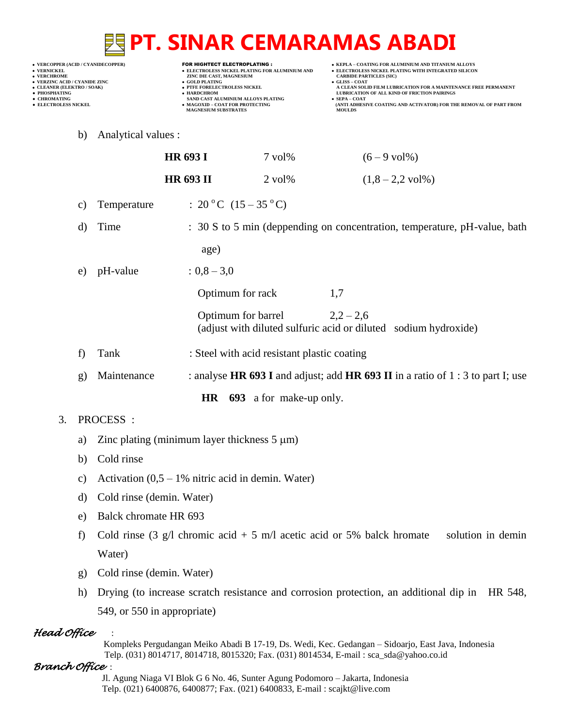**VERNICKEL ELECTROLESS NICKEL PLATING FOR ALUMINIUM AND ELECTROLESS NICKEL PLATING WITH INTEGRATED SILICON**

- **VERT ASSESSED ASSESSED ASSESSED ASSESSED ASSESSED ASSESSED ASSESSED ASSESSED ASSESSED ASSESSED ASSESSED ASSESSED ASSESSED ASSESSED ASSESSED ASSESSED ASSESSED ASSESSED ASSESSED ASSESSED ASSESSED ASSESSED ASSESSED ASSESSED**
- **VERZINC ACID / CYANIDE ZINC GOLD PLATING GLISS – COAT**
	-
- **● CHROMATING SAND CAST ALUMINIUM ALLOYS PLATING SEPA – COAT MAGNESIUM SUBSTRATES MOULDS**
- **VERCOPPER (ACID / CYANIDECOPPER)** FOR HIGHTECT ELECTROPLATING :  **KEPLA – COATING FOR ALUMINIUM AND TITANIUM ALLOYS**
	-
- **CLEANER (ELEKTRO / SOAK) PTFE FORELECTROLESS NICKEL A CLEAN SOLID FILM LUBRICATION FOR A MAINTENANCE FREE PERMANENT ● PHOSPHATING HARDCHROM LUBRICATION OF ALL KIND OF FRICTION PAIRINGS**
- **● ELECTROLESS NICKEL MAGOXID – COAT FOR PROTECTING (ANTI ADHESIVE COATING AND ACTIVATOR) FOR THE REMOVAL OF PART FROM** 
	- b) Analytical values :

|    |                                             | <b>HR 693 I</b>                                                                 | $7 \text{ vol} \%$                                                        | $(6 - 9$ vol <sup><math>\%</math></sup> ) |                                                                 |
|----|---------------------------------------------|---------------------------------------------------------------------------------|---------------------------------------------------------------------------|-------------------------------------------|-----------------------------------------------------------------|
|    |                                             | <b>HR 693 II</b>                                                                | $2 \text{ vol} \%$                                                        |                                           | $(1,8-2,2 \text{ vol})$                                         |
| C) | Temperature                                 | : $20^{\circ}$ C $(15-35^{\circ}$ C)                                            |                                                                           |                                           |                                                                 |
| d) | Time                                        |                                                                                 | : 30 S to 5 min (deppending on concentration, temperature, pH-value, bath |                                           |                                                                 |
|    |                                             | age)                                                                            |                                                                           |                                           |                                                                 |
| e) | pH-value                                    | $: 0,8 - 3,0$                                                                   |                                                                           |                                           |                                                                 |
|    |                                             | Optimum for rack                                                                |                                                                           | 1,7                                       |                                                                 |
|    |                                             |                                                                                 | Optimum for barrel $2,2-2,6$                                              |                                           | (adjust with diluted sulfuric acid or diluted sodium hydroxide) |
| f) | Tank                                        |                                                                                 | : Steel with acid resistant plastic coating                               |                                           |                                                                 |
| g) | Maintenance                                 | : analyse HR 693 I and adjust; add HR 693 II in a ratio of 1 : 3 to part I; use |                                                                           |                                           |                                                                 |
|    | <b>HR</b><br><b>693</b> a for make-up only. |                                                                                 |                                                                           |                                           |                                                                 |

### 3. PROCESS :

- a) Zinc plating (minimum layer thickness  $5 \mu m$ )
- b) Cold rinse
- c) Activation  $(0,5 1)$ % nitric acid in demin. Water)
- d) Cold rinse (demin. Water)
- e) Balck chromate HR 693
- f) Cold rinse (3 g/l chromic acid + 5 m/l acetic acid or 5% balck hromate solution in demin Water)
- g) Cold rinse (demin. Water)
- h) Drying (to increase scratch resistance and corrosion protection, an additional dip in HR 548, 549, or 550 in appropriate)

### *Head Office* :

 Kompleks Pergudangan Meiko Abadi B 17-19, Ds. Wedi, Kec. Gedangan – Sidoarjo, East Java, Indonesia Telp. (031) 8014717, 8014718, 8015320; Fax. (031) 8014534, E-mail : sca\_sda@yahoo.co.id

### *Branch Office* :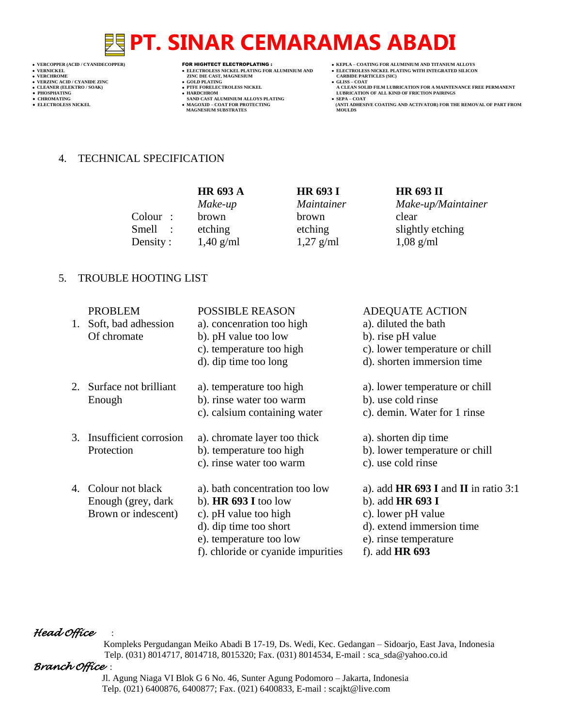- 
- 
- 

- 
- 

- **VERCHROLES NICKEL PLATING FOR ALUMINIUM AND**<br> **VELECTROLES NICKEL PLATING FOR ALUMINIUM AND**<br> **VERCHROLES (SILD)**<br> **CARBIDE PARTING**<br> **CARBIDE PARTING**
- **v GOLD PLATING**<br>**• PTFE FORELECTROLESS NICKEL**
- 
- **PHOSPHATING HARDCHROM LUBRICATION OF ALL KIND OF FRICTION PAIRINGS ● CHROMATING SAND CAST ALUMINIUM ALLOYS PLATING SEPA – COAT MAGNESIUM SUBSTRATES MOULDS**
- **VERCOPPER (ACID / CYANIDECOPPER)** FOR HIGHTECT ELECTROPLATING :  **KEPLA – COATING FOR ALUMINIUM AND TITANIUM ALLOYS**
	-
	-
- **VERNICKEL ELECTROLESS NICKEL PLATING FOR ALUMINIUM AND ELECTROLESS NICKEL PLATING WITH INTEGRATED SILICON CLEANER (ELEKTRO / SOAK) PTFE FORELECTROLESS NICKEL A CLEAN SOLID FILM LUBRICATION FOR A MAINTENANCE FREE PERMANENT**
	- **• SEPA COAT**<br> **•** SEPA COAT FOR COATING AND ACTIVATOR) FOR THE REMOVAL OF PART FROM MOULDS

4. TECHNICAL SPECIFICATION

|                   | <b>HR 693 A</b> | <b>HR 693 I</b> | <b>HR 693 II</b>   |
|-------------------|-----------------|-----------------|--------------------|
|                   | Make-up         | Maintainer      | Make-up/Maintainer |
| $\text{Colour}$ : | brown           | brown           | clear              |
| Smell :           | etching         | etching         | slightly etching   |
| Density:          | $1,40$ g/ml     | $1,27$ g/ml     | $1,08$ g/ml        |

### 5. TROUBLE HOOTING LIST

| <b>PROBLEM</b><br>1. Soft, bad adhession<br>Of chromate           | <b>POSSIBLE REASON</b><br>a). concenration too high<br>b). pH value too low<br>c). temperature too high<br>d). dip time too long                                             | <b>ADEQUATE ACTION</b><br>a). diluted the bath<br>b). rise pH value<br>c). lower temperature or chill<br>d). shorten immersion time                          |
|-------------------------------------------------------------------|------------------------------------------------------------------------------------------------------------------------------------------------------------------------------|--------------------------------------------------------------------------------------------------------------------------------------------------------------|
| 2. Surface not brilliant<br>Enough                                | a). temperature too high<br>b). rinse water too warm<br>c). calsium containing water                                                                                         | a). lower temperature or chill<br>b). use cold rinse<br>c). demin. Water for 1 rinse                                                                         |
| 3. Insufficient corrosion<br>Protection                           | a). chromate layer too thick<br>b). temperature too high<br>c). rinse water too warm                                                                                         | a). shorten dip time<br>b). lower temperature or chill<br>c). use cold rinse                                                                                 |
| 4. Colour not black<br>Enough (grey, dark)<br>Brown or indescent) | a). bath concentration too low<br>b). $HR 693 I$ too low<br>c). pH value too high<br>d). dip time too short<br>e). temperature too low<br>f). chloride or cyanide impurities | a). add $HR 693 I$ and $II$ in ratio 3:1<br>b). add HR 693 I<br>c). lower pH value<br>d). extend immersion time<br>e). rinse temperature<br>f). add $HR 693$ |

### *Head Office* :

 Kompleks Pergudangan Meiko Abadi B 17-19, Ds. Wedi, Kec. Gedangan – Sidoarjo, East Java, Indonesia Telp. (031) 8014717, 8014718, 8015320; Fax. (031) 8014534, E-mail : sca\_sda@yahoo.co.id

### *Branch Office* :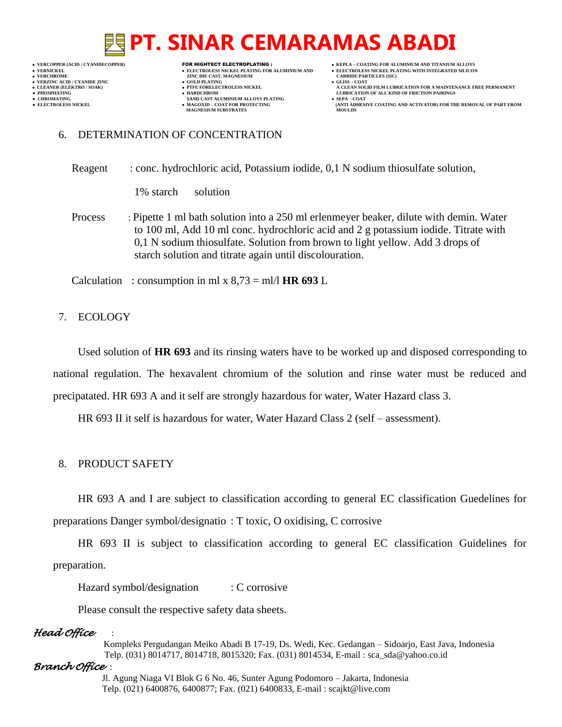- 
- 

- **VERNICKEL ELECTROLESS NICKEL PLATING FOR ALUMINIUM AND ELECTROLESS NICKEL PLATING WITH INTEGRATED SILICON VERT ASSESSED ASSESSED ASSESSED ASSESSED ASSESSED ASSESSED ASSESSED ASSESSED ASSESSED ASSESSED ASSESSED ASSESSED ASSESSED ASSESSED ASSESSED ASSESSED ASSESSED ASSESSED ASSESSED ASSESSED ASSESSED ASSESSED ASSESSED ASSESSED**
- **VERZINC ACID / CYANIDE ZINC GOLD PLATING GLISS – COAT**
	-
- **CHROMATING SAND CAST ALUMINIUM ALLOYS PLATING**<br>• **ELECTROLESS NICKEL**<br>• **MAGOXID COAT FOR PROTECTING • MAGOXID – COAT FOR PROTECTING<br>MAGNESIUM SUBSTRATES**
- **VERCOPPER (ACID / CYANIDECOPPER)** FOR HIGHTECT ELECTROPLATING :  **KEPLA – COATING FOR ALUMINIUM AND TITANIUM ALLOYS**
	-
	-
- **CLEANER (ELEKTRO / SOAK) PTFE FORELECTROLESS NICKEL A CLEAN SOLID FILM LUBRICATION FOR A MAINTENANCE FREE PERMANENT ● PHOSPHATING HARDCHROM LUBRICATION OF ALL KIND OF FRICTION PAIRINGS** 
	- **ELECTROLESS AND ACTIVATOR) FOR THE REMOVAL OF PART FROM (ANTI ADHESIVE COATING AND ACTIVATOR) FOR THE REMOVAL OF PART FROM**

### 6. DETERMINATION OF CONCENTRATION

Reagent : conc. hydrochloric acid, Potassium iodide, 0,1 N sodium thiosulfate solution,

1% starch solution

Process : Pipette 1 ml bath solution into a 250 ml erlenmeyer beaker, dilute with demin. Water to 100 ml, Add 10 ml conc. hydrochloric acid and 2 g potassium iodide. Titrate with 0,1 N sodium thiosulfate. Solution from brown to light yellow. Add 3 drops of starch solution and titrate again until discolouration.

Calculation : consumption in ml x  $8,73 =$  ml/l **HR 693** L

### 7. ECOLOGY

Used solution of **HR 693** and its rinsing waters have to be worked up and disposed corresponding to national regulation. The hexavalent chromium of the solution and rinse water must be reduced and precipatated. HR 693 A and it self are strongly hazardous for water, Water Hazard class 3.

HR 693 II it self is hazardous for water, Water Hazard Class 2 (self – assessment).

### 8. PRODUCT SAFETY

HR 693 A and I are subject to classification according to general EC classification Guedelines for preparations Danger symbol/designatio : T toxic, O oxidising, C corrosive

HR 693 II is subject to classification according to general EC classification Guidelines for preparation.

Hazard symbol/designation : C corrosive

Please consult the respective safety data sheets.

### *Head Office* :

 Kompleks Pergudangan Meiko Abadi B 17-19, Ds. Wedi, Kec. Gedangan – Sidoarjo, East Java, Indonesia Telp. (031) 8014717, 8014718, 8015320; Fax. (031) 8014534, E-mail : sca\_sda@yahoo.co.id

### *Branch Office* :